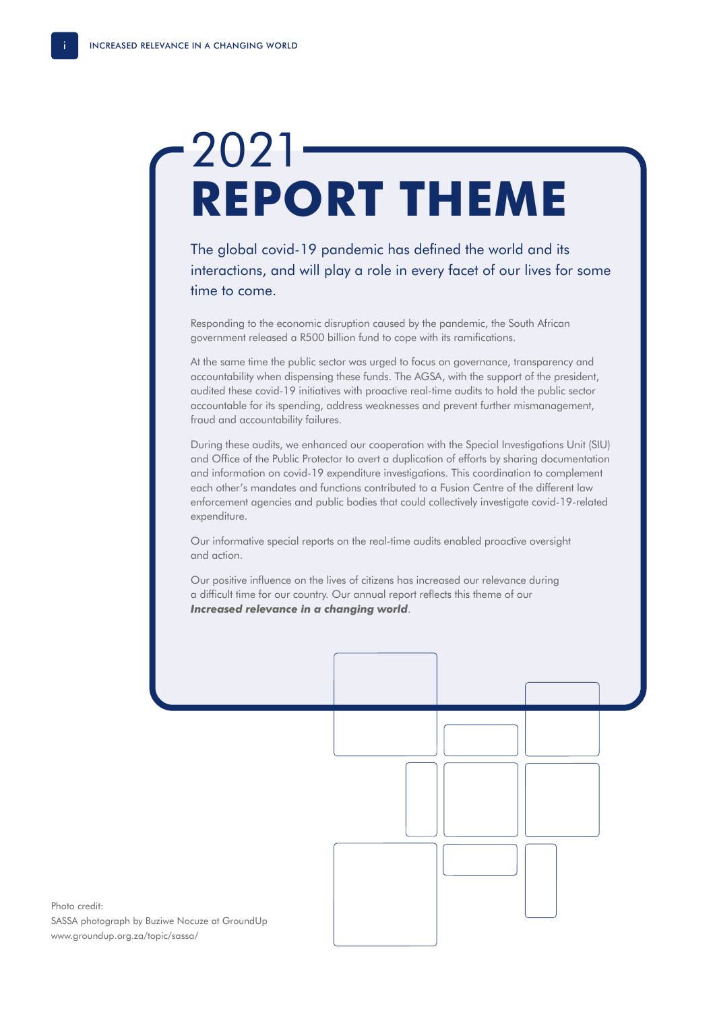## 2021 **REPORT THEME**

The global covid-19 pandemic has defined the world and its interactions, and will play a role in every facet of our lives for some time to come.

Responding to the economic disruption caused by the pandemic, the South African government released a R500 billion fund to cope with its ramifications.

At the same time the public sector was urged to focus on governance, transparency and accountability when dispensing these funds. The AGSA, with the support of the president, audited these covid-19 initiatives with proactive real-time audits to hold the public sector accountable for its spending, address weaknesses and prevent further mismanagement, fraud and accountability failures.

During these audits, we enhanced our cooperation with the Special Investigations Unit (SIU) and Office of the Public Protector to avert a duplication of efforts by sharing documentation and information on covid-19 expenditure investigations. This coordination to complement each other's mandates and functions contributed to a Fusion Centre of the different law enforcement agencies and public bodies that could collectively investigate covid-19-related expenditure.

Our informative special reports on the real-time audits enabled proactive oversight and action.

Our positive influence on the lives of citizens has increased our relevance during a difficult time for our country. Our annual report reflects this theme of our *Increased relevance in a changing world*.